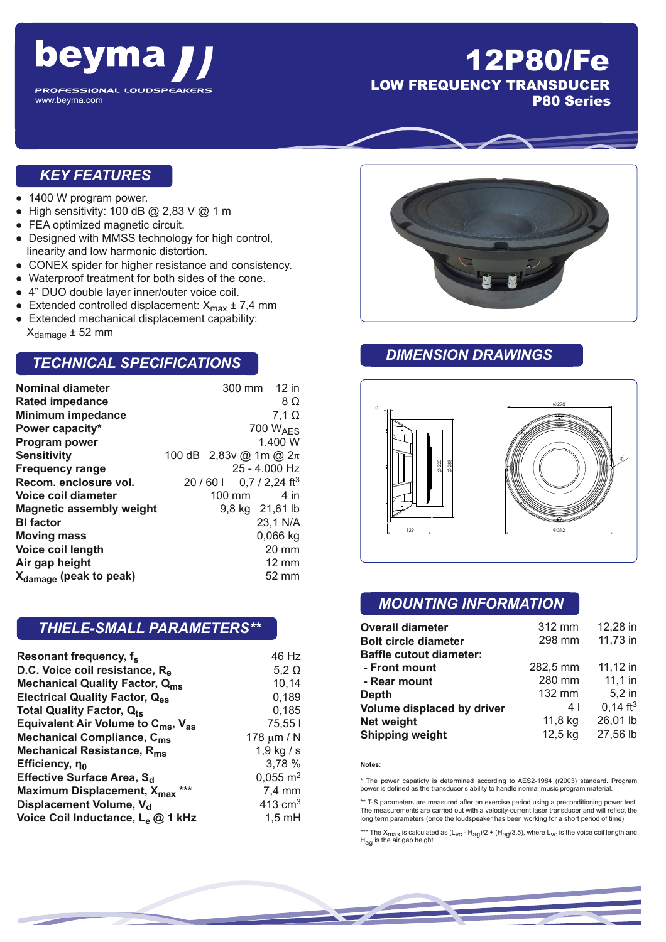

# 12P80/Fe LOW FREQUENCY TRANSDUCER

P80 Series

#### *KEY FEATURES*

- 1400 W program power.
- High sensitivity: 100 dB  $@$  2,83 V  $@$  1 m
- FEA optimized magnetic circuit.
- Designed with MMSS technology for high control, linearity and low harmonic distortion.
- CONEX spider for higher resistance and consistency.
- Waterproof treatment for both sides of the cone.
- 4" DUO double layer inner/outer voice coil.
- Extended controlled displacement:  $X_{\text{max}} \pm 7.4 \text{ mm}$
- Extended mechanical displacement capability:  $X_{\text{damage}} \pm 52$  mm

#### *TECHNICAL SPECIFICATIONS*

| <b>Nominal diameter</b>            |        | 300 mm 12 in                    |
|------------------------------------|--------|---------------------------------|
| <b>Rated impedance</b>             |        | 8Ω                              |
| <b>Minimum impedance</b>           |        | $7,1 \Omega$                    |
| Power capacity*                    |        | 700 $W_{\text{AFS}}$            |
| <b>Program power</b>               |        | 1.400 W                         |
| <b>Sensitivity</b>                 |        | 100 dB 2,83y @ 1m @ $2\pi$      |
| <b>Frequency range</b>             |        | 25 - 4.000 Hz                   |
| Recom. enclosure vol.              |        | 20/601 0,7/2,24 ft <sup>3</sup> |
| Voice coil diameter                | 100 mm | 4 in                            |
| <b>Magnetic assembly weight</b>    |        | 9,8 kg 21,61 lb                 |
| <b>BI</b> factor                   |        | 23,1 N/A                        |
| <b>Moving mass</b>                 |        | $0,066$ kg                      |
| Voice coil length                  |        | $20 \text{ mm}$                 |
| Air gap height                     |        | $12 \text{ mm}$                 |
| X <sub>damage</sub> (peak to peak) |        | 52 mm                           |

### *THIELE-SMALL PARAMETERS\*\**

| Resonant frequency, f <sub>s</sub>                         | 46 Hz                 |
|------------------------------------------------------------|-----------------------|
| D.C. Voice coil resistance, R <sub>e</sub>                 | $5,2 \Omega$          |
| <b>Mechanical Quality Factor, Qms</b>                      | 10,14                 |
| Electrical Quality Factor, Q <sub>es</sub>                 | 0,189                 |
| Total Quality Factor, Q <sub>ts</sub>                      | 0,185                 |
| Equivalent Air Volume to $C_{\text{ms}}$ , $V_{\text{as}}$ | 75,551                |
| Mechanical Compliance, C <sub>ms</sub>                     | 178 $\mu$ m / N       |
| Mechanical Resistance, R <sub>ms</sub>                     | 1,9 kg / s            |
| Efficiency, no                                             | 3,78 %                |
| Effective Surface Area, S <sub>d</sub>                     | $0,055 \; \text{m}^2$ |
| $***$<br>Maximum Displacement, X <sub>max</sub>            | 7,4 mm                |
| Displacement Volume, V <sub>d</sub>                        | 413 $cm3$             |
| Voice Coil Inductance, L <sub>e</sub> @ 1 kHz              | $1,5$ mH              |



#### *DIMENSION DRAWINGS*



#### *MOUNTING INFORMATION*

| <b>Overall diameter</b>        | 312 mm   | 12,28 in               |
|--------------------------------|----------|------------------------|
| <b>Bolt circle diameter</b>    | 298 mm   | 11,73 in               |
| <b>Baffle cutout diameter:</b> |          |                        |
| - Front mount                  | 282,5 mm | 11,12 in               |
| - Rear mount                   | 280 mm   | $11,1$ in              |
| <b>Depth</b>                   | 132 mm   | 5,2 in                 |
| Volume displaced by driver     | 4 I      | $0,14$ ft <sup>3</sup> |
| <b>Net weight</b>              | 11,8 kg  | 26,01 lb               |
| <b>Shipping weight</b>         | 12,5 kg  | 27,56 lb               |

beyma $jj$ 

#### **Notes**:

\* The power capaticty is determined according to AES2-1984 (r2003) standard. Program power is defined as the transducer's ability to handle normal music program material.

\*\* T-S parameters are measured after an exercise period using a preconditioning power test. The measurements are carried out with a velocity-current laser transducer and will reflect the long term parameters (once the loudspeaker has been working for a short period of time).

\*\*\* The X<sub>max</sub> is calculated as (L<sub>VC</sub> - H<sub>ag</sub>)/2 + (H<sub>ag</sub>/3,5), where L<sub>VC</sub> is the voice coil length and<br>H<sub>ag</sub> is the air gap height.